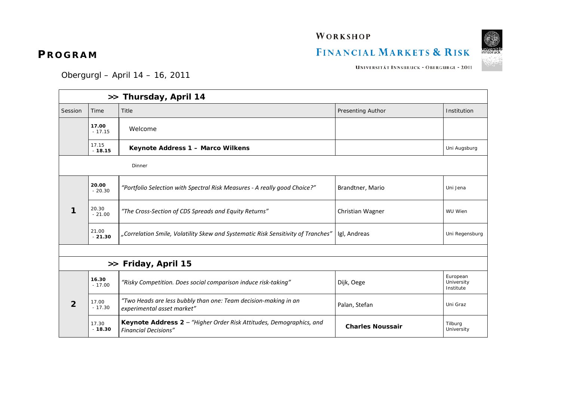WORKSHOP

## FINANCIAL MARKETS & RISK



UNIVERSITÄT INNSBRUCK - OBERGURGL - 2011

Obergurgl – April 14 – 16, 2011

| >> Thursday, April 14 |                   |                                                                                                    |                          |                                     |  |  |  |
|-----------------------|-------------------|----------------------------------------------------------------------------------------------------|--------------------------|-------------------------------------|--|--|--|
| Session               | Time              | Title                                                                                              | <b>Presenting Author</b> | Institution                         |  |  |  |
|                       | 17.00<br>$-17.15$ | Welcome                                                                                            |                          |                                     |  |  |  |
|                       | 17.15<br>$-18.15$ | Keynote Address 1 - Marco Wilkens                                                                  |                          | Uni Augsburg                        |  |  |  |
| Dinner                |                   |                                                                                                    |                          |                                     |  |  |  |
| 1                     | 20.00<br>$-20.30$ | "Portfolio Selection with Spectral Risk Measures - A really good Choice?"                          | Brandtner, Mario         | Uni Jena                            |  |  |  |
|                       | 20.30<br>$-21.00$ | "The Cross-Section of CDS Spreads and Equity Returns"                                              | Christian Wagner         | WU Wien                             |  |  |  |
|                       | 21.00<br>$-21.30$ | "Correlation Smile, Volatility Skew and Systematic Risk Sensitivity of Tranches"                   | Igl, Andreas             | Uni Regensburg                      |  |  |  |
|                       |                   |                                                                                                    |                          |                                     |  |  |  |
| >> Friday, April 15   |                   |                                                                                                    |                          |                                     |  |  |  |
| $\overline{2}$        | 16.30<br>$-17.00$ | "Risky Competition. Does social comparison induce risk-taking"                                     | Dijk, Oege               | European<br>University<br>Institute |  |  |  |
|                       | 17.00<br>$-17.30$ | "Two Heads are less bubbly than one: Team decision-making in an<br>experimental asset market"      | Palan, Stefan            | Uni Graz                            |  |  |  |
|                       | 17.30<br>$-18.30$ | Keynote Address 2 - "Higher Order Risk Attitudes, Demographics, and<br><b>Financial Decisions"</b> | <b>Charles Noussair</b>  | Tilburg<br>University               |  |  |  |

## **PROGRAM**